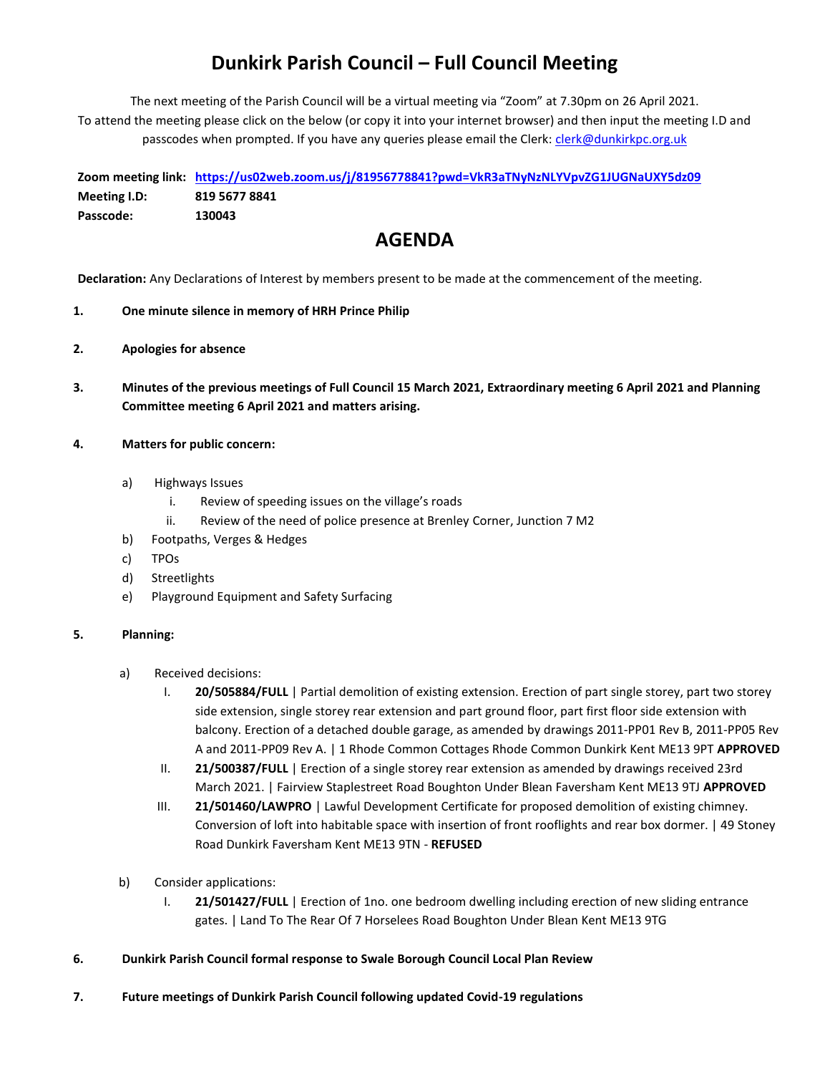# **Dunkirk Parish Council – Full Council Meeting**

The next meeting of the Parish Council will be a virtual meeting via "Zoom" at 7.30pm on 26 April 2021. To attend the meeting please click on the below (or copy it into your internet browser) and then input the meeting I.D and passcodes when prompted. If you have any queries please email the Clerk: [clerk@dunkirkpc.org.uk](mailto:clerk@dunkirkpc.org.uk)

**Zoom meeting link: <https://us02web.zoom.us/j/81956778841?pwd=VkR3aTNyNzNLYVpvZG1JUGNaUXY5dz09> Meeting I.D: 819 5677 8841 Passcode: 130043**

### **AGENDA**

**Declaration:** Any Declarations of Interest by members present to be made at the commencement of the meeting.

- **1. One minute silence in memory of HRH Prince Philip**
- **2. Apologies for absence**
- **3. Minutes of the previous meetings of Full Council 15 March 2021, Extraordinary meeting 6 April 2021 and Planning Committee meeting 6 April 2021 and matters arising.**

#### **4. Matters for public concern:**

- a) Highways Issues
	- i. Review of speeding issues on the village's roads
	- ii. Review of the need of police presence at Brenley Corner, Junction 7 M2
- b) Footpaths, Verges & Hedges
- c) TPOs
- d) Streetlights
- e) Playground Equipment and Safety Surfacing

#### **5. Planning:**

- a) Received decisions:
	- I. **20/505884/FULL** | Partial demolition of existing extension. Erection of part single storey, part two storey side extension, single storey rear extension and part ground floor, part first floor side extension with balcony. Erection of a detached double garage, as amended by drawings 2011-PP01 Rev B, 2011-PP05 Rev A and 2011-PP09 Rev A. | 1 Rhode Common Cottages Rhode Common Dunkirk Kent ME13 9PT **APPROVED**
	- II. **21/500387/FULL** | Erection of a single storey rear extension as amended by drawings received 23rd March 2021. | Fairview Staplestreet Road Boughton Under Blean Faversham Kent ME13 9TJ **APPROVED**
	- III. **21/501460/LAWPRO** | Lawful Development Certificate for proposed demolition of existing chimney. Conversion of loft into habitable space with insertion of front rooflights and rear box dormer. | 49 Stoney Road Dunkirk Faversham Kent ME13 9TN - **REFUSED**
- b) Consider applications:
	- I. **21/501427/FULL** | Erection of 1no. one bedroom dwelling including erection of new sliding entrance gates. | Land To The Rear Of 7 Horselees Road Boughton Under Blean Kent ME13 9TG
- **6. Dunkirk Parish Council formal response to Swale Borough Council Local Plan Review**
- **7. Future meetings of Dunkirk Parish Council following updated Covid-19 regulations**